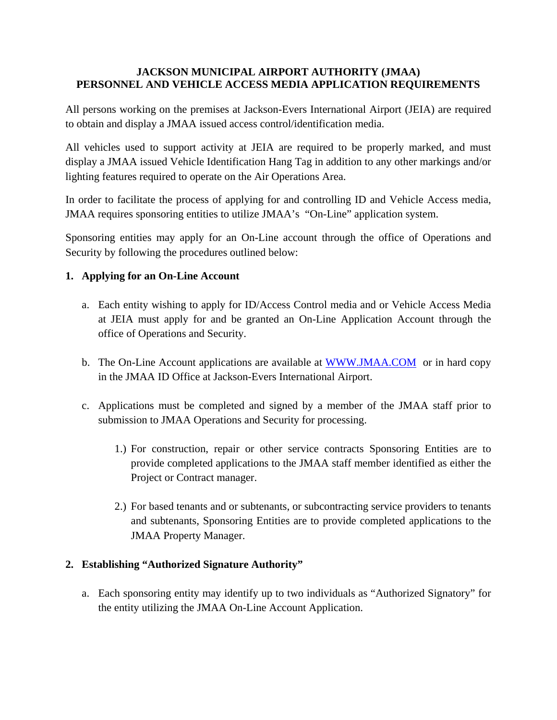### **JACKSON MUNICIPAL AIRPORT AUTHORITY (JMAA) PERSONNEL AND VEHICLE ACCESS MEDIA APPLICATION REQUIREMENTS**

All persons working on the premises at Jackson-Evers International Airport (JEIA) are required to obtain and display a JMAA issued access control/identification media.

All vehicles used to support activity at JEIA are required to be properly marked, and must display a JMAA issued Vehicle Identification Hang Tag in addition to any other markings and/or lighting features required to operate on the Air Operations Area.

In order to facilitate the process of applying for and controlling ID and Vehicle Access media, JMAA requires sponsoring entities to utilize JMAA's "On-Line" application system.

Sponsoring entities may apply for an On-Line account through the office of Operations and Security by following the procedures outlined below:

## **1. Applying for an On-Line Account**

- a. Each entity wishing to apply for ID/Access Control media and or Vehicle Access Media at JEIA must apply for and be granted an On-Line Application Account through the office of Operations and Security.
- b. The On-Line Account applications are available at [WWW.JMAA.COM](http://www.jmaa.com/) or in hard copy in the JMAA ID Office at Jackson-Evers International Airport.
- c. Applications must be completed and signed by a member of the JMAA staff prior to submission to JMAA Operations and Security for processing.
	- 1.) For construction, repair or other service contracts Sponsoring Entities are to provide completed applications to the JMAA staff member identified as either the Project or Contract manager.
	- 2.) For based tenants and or subtenants, or subcontracting service providers to tenants and subtenants, Sponsoring Entities are to provide completed applications to the JMAA Property Manager.

## **2. Establishing "Authorized Signature Authority"**

a. Each sponsoring entity may identify up to two individuals as "Authorized Signatory" for the entity utilizing the JMAA On-Line Account Application.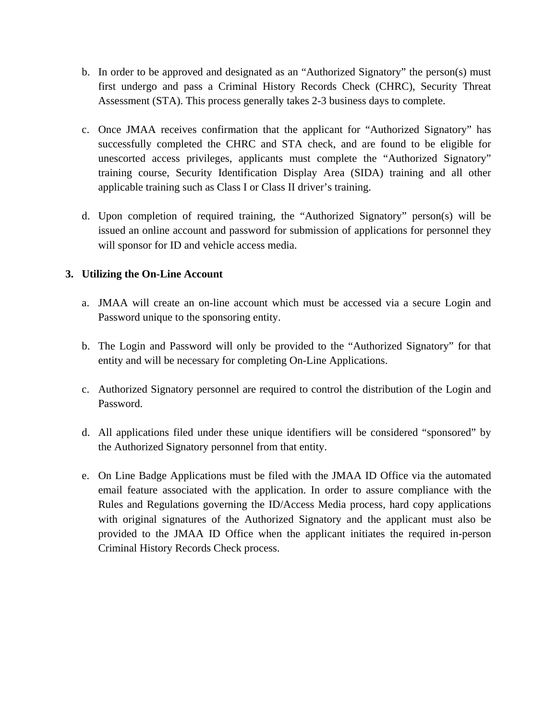- b. In order to be approved and designated as an "Authorized Signatory" the person(s) must first undergo and pass a Criminal History Records Check (CHRC), Security Threat Assessment (STA). This process generally takes 2-3 business days to complete.
- c. Once JMAA receives confirmation that the applicant for "Authorized Signatory" has successfully completed the CHRC and STA check, and are found to be eligible for unescorted access privileges, applicants must complete the "Authorized Signatory" training course, Security Identification Display Area (SIDA) training and all other applicable training such as Class I or Class II driver's training.
- d. Upon completion of required training, the "Authorized Signatory" person(s) will be issued an online account and password for submission of applications for personnel they will sponsor for ID and vehicle access media.

## **3. Utilizing the On-Line Account**

- a. JMAA will create an on-line account which must be accessed via a secure Login and Password unique to the sponsoring entity.
- b. The Login and Password will only be provided to the "Authorized Signatory" for that entity and will be necessary for completing On-Line Applications.
- c. Authorized Signatory personnel are required to control the distribution of the Login and Password.
- d. All applications filed under these unique identifiers will be considered "sponsored" by the Authorized Signatory personnel from that entity.
- e. On Line Badge Applications must be filed with the JMAA ID Office via the automated email feature associated with the application. In order to assure compliance with the Rules and Regulations governing the ID/Access Media process, hard copy applications with original signatures of the Authorized Signatory and the applicant must also be provided to the JMAA ID Office when the applicant initiates the required in-person Criminal History Records Check process.